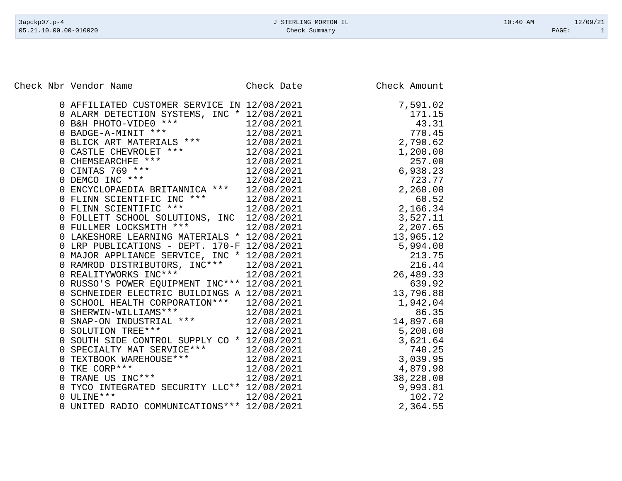Check Nbr Vendor Name Check Date Check Date Check Amount

|   | 0 AFFILIATED CUSTOMER SERVICE IN 12/08/2021                                  |            | 7,591.02  |
|---|------------------------------------------------------------------------------|------------|-----------|
|   | 0 ALARM DETECTION SYSTEMS, INC * 12/08/2021                                  |            | 171.15    |
|   | 0 B&H PHOTO-VIDE0 ***<br>0 BADGE-A-MINIT ***                                 | 12/08/2021 | 43.31     |
|   |                                                                              | 12/08/2021 | 770.45    |
|   | BLICK ART MATERIALS ***                                                      | 12/08/2021 | 2,790.62  |
|   | 0 CASTLE CHEVROLET ***<br>0 CHEMSEARCHFE ***<br>0 CINTAS 769 ***             | 12/08/2021 | 1,200.00  |
|   |                                                                              | 12/08/2021 | 257.00    |
|   |                                                                              | 12/08/2021 | 6,938.23  |
|   | 0 DEMCO INC ***                                                              | 12/08/2021 | 723.77    |
|   | 0 ENCYCLOPAEDIA BRITANNICA ***                                               | 12/08/2021 | 2,260.00  |
|   |                                                                              | 12/08/2021 | 60.52     |
|   | U FLINN SCIENTIFIC INC ***<br>0 FLINN SCIENTIFIC ***<br>0 FOILETT COUCOI 200 | 12/08/2021 | 2,166.34  |
|   | 0 FOLLETT SCHOOL SOLUTIONS, INC 12/08/2021                                   |            | 3,527.11  |
|   | 0 FULLMER LOCKSMITH ***                                                      | 12/08/2021 | 2,207.65  |
|   | 0 LAKESHORE LEARNING MATERIALS * 12/08/2021                                  |            | 13,965.12 |
|   | 0 LRP PUBLICATIONS - DEPT. 170-F 12/08/2021                                  |            | 5,994.00  |
|   | 0 MAJOR APPLIANCE SERVICE, INC * 12/08/2021                                  |            | 213.75    |
|   | 0 RAMROD DISTRIBUTORS, INC*** 12/08/2021                                     |            | 216.44    |
|   | REALITYWORKS INC ***                                                         | 12/08/2021 | 26,489.33 |
|   | 0 RUSSO'S POWER EQUIPMENT INC*** 12/08/2021                                  |            | 639.92    |
|   | 0 SCHNEIDER ELECTRIC BUILDINGS A 12/08/2021                                  |            | 13,796.88 |
|   | 0 SCHOOL HEALTH CORPORATION *** 12/08/2021                                   |            | 1,942.04  |
|   | 0 SHERWIN-WILLIAMS ***                                                       | 12/08/2021 | 86.35     |
|   | 0 SNAP-ON INDUSTRIAL ***<br>0 SOLUTION TREE***                               | 12/08/2021 | 14,897.60 |
|   |                                                                              | 12/08/2021 | 5,200.00  |
|   | 0 SOUTH SIDE CONTROL SUPPLY CO * 12/08/2021                                  |            | 3,621.64  |
|   | SPECIALTY MAT SERVICE ***                                                    | 12/08/2021 | 740.25    |
|   | 0 TEXTBOOK WAREHOUSE ***<br>0 TKF COPP***                                    | 12/08/2021 | 3,039.95  |
| 0 | TKE CORP***<br>TRANE US INC***                                               | 12/08/2021 | 4,879.98  |
| 0 |                                                                              | 12/08/2021 | 38,220.00 |
|   | TYCO INTEGRATED SECURITY LLC** 12/08/2021                                    |            | 9,993.81  |
| 0 | ULINE * * *                                                                  | 12/08/2021 | 102.72    |
|   | 0 UNITED RADIO COMMUNICATIONS *** 12/08/2021                                 |            | 2,364.55  |

|                                                   | 591.02<br>171.15<br>43.31                                                                                                                                |
|---------------------------------------------------|----------------------------------------------------------------------------------------------------------------------------------------------------------|
| $\overline{c}$<br>1                               | 45<br>770<br>$\ddot{\phantom{a}}$<br>790.62<br>200.00<br>257.00<br>257.00<br>938.23<br>723.77<br>260.00<br>60.52<br>166.34<br>527.11<br>207.65<br>965.12 |
|                                                   |                                                                                                                                                          |
| $\overline{c}$                                    |                                                                                                                                                          |
| $\begin{array}{c}\n2 \\ 3 \\ 2 \\ 3\n\end{array}$ | , 207.                                                                                                                                                   |
| 5                                                 | , 207. 105<br>, 965. 12<br>, 994. 00<br>213. 75<br>216. 44<br>, 489. 33<br>$\overline{ }$                                                                |
| 26                                                | $\overline{ }$<br>639.92                                                                                                                                 |
| 13                                                | 796.88<br>942.04<br>$942.04$<br>$86.35$                                                                                                                  |
| 4<br>5<br>3                                       | 897.60<br>, 200.00<br>, 621.64<br>, 621.64<br>, 039.95<br>, 039.95                                                                                       |
| 3<br>4<br>38<br>9                                 | 879.98<br>220.00<br>$\overline{1}$<br>$\overline{ }$<br>220.00<br>993.81<br>102.72                                                                       |
| $\overline{2}$                                    | 364.55                                                                                                                                                   |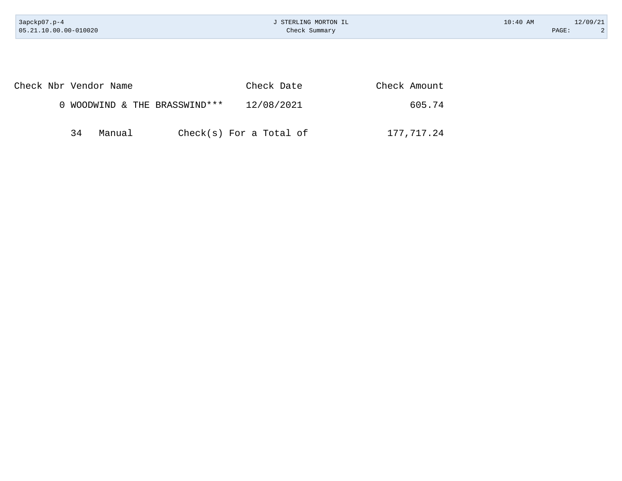| 3apckp07.p-4<br>05.21.10.00.00-010020 | J STERLING MORTON IL<br>Check Summary |              | $10:40$ AM | 12/09/21<br>$\overline{2}$<br>PAGE: |
|---------------------------------------|---------------------------------------|--------------|------------|-------------------------------------|
|                                       |                                       |              |            |                                     |
|                                       |                                       |              |            |                                     |
| Check Nbr Vendor Name                 | Check Date                            | Check Amount |            |                                     |
| 0 WOODWIND & THE BRASSWIND ***        | 12/08/2021                            | 605.74       |            |                                     |
| 34<br>Manual                          | $Check(s)$ For a Total of             | 177,717.24   |            |                                     |